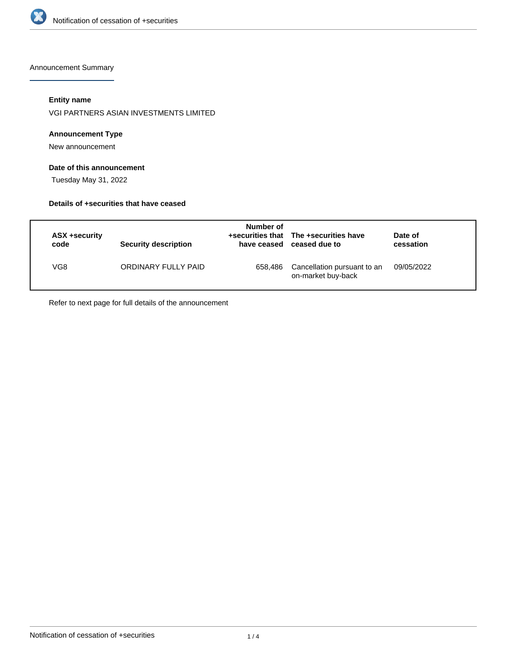

Announcement Summary

## **Entity name**

VGI PARTNERS ASIAN INVESTMENTS LIMITED

## **Announcement Type**

New announcement

## **Date of this announcement**

Tuesday May 31, 2022

#### **Details of +securities that have ceased**

| ASX +security<br>code | Security description | Number of<br>have ceased | +securities that The +securities have<br>ceased due to | Date of<br>cessation |
|-----------------------|----------------------|--------------------------|--------------------------------------------------------|----------------------|
| VG8                   | ORDINARY FULLY PAID  | 658.486                  | Cancellation pursuant to an<br>on-market buy-back      | 09/05/2022           |

Refer to next page for full details of the announcement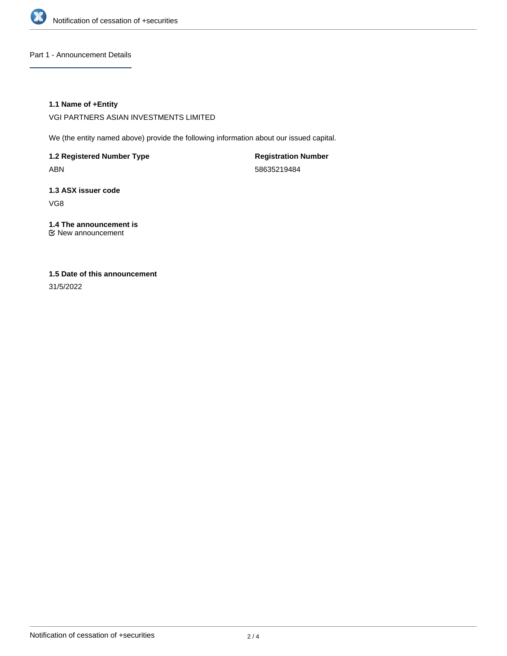

Part 1 - Announcement Details

## **1.1 Name of +Entity**

VGI PARTNERS ASIAN INVESTMENTS LIMITED

We (the entity named above) provide the following information about our issued capital.

**1.2 Registered Number Type** ABN

**Registration Number** 58635219484

**1.3 ASX issuer code** VG8

**1.4 The announcement is** New announcement

# **1.5 Date of this announcement**

31/5/2022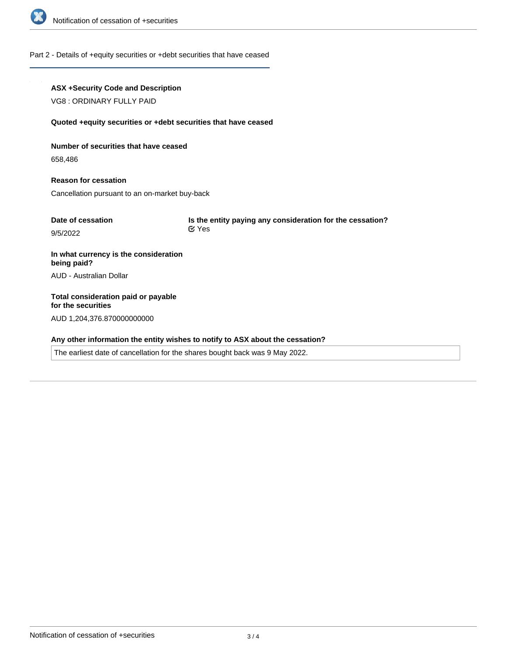

#### Part 2 - Details of +equity securities or +debt securities that have ceased

## **ASX +Security Code and Description**

VG8 : ORDINARY FULLY PAID

#### **Quoted +equity securities or +debt securities that have ceased**

**Number of securities that have ceased**

658,486

**Reason for cessation** Cancellation pursuant to an on-market buy-back

| Date of cessation | Is the entity paying any consideration for the cessation? |
|-------------------|-----------------------------------------------------------|
| 9/5/2022          | <b>⊠</b> Yes                                              |
|                   |                                                           |

**In what currency is the consideration being paid?** AUD - Australian Dollar

**Total consideration paid or payable for the securities** AUD 1,204,376.870000000000

## **Any other information the entity wishes to notify to ASX about the cessation?**

The earliest date of cancellation for the shares bought back was 9 May 2022.